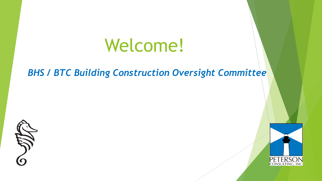# Welcome!

#### *BHS / BTC Building Construction Oversight Committee*

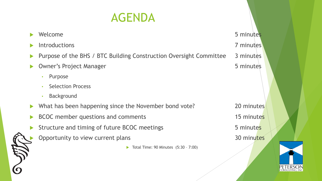# AGENDA

|                       | Welcome                                                            | 5 minutes  |
|-----------------------|--------------------------------------------------------------------|------------|
|                       | Introductions                                                      | 7 minutes  |
| $\blacktriangleright$ | Purpose of the BHS / BTC Building Construction Oversight Committee | 3 minutes  |
|                       | <b>Owner's Project Manager</b>                                     | 5 minutes  |
|                       | Purpose<br>$\bullet$                                               |            |
|                       | <b>Selection Process</b>                                           |            |
|                       | <b>Background</b>                                                  |            |
| $\blacktriangleright$ | What has been happening since the November bond vote?              | 20 minutes |
|                       | BCOC member questions and comments                                 | 15 minutes |
|                       | Structure and timing of future BCOC meetings                       | 5 minutes  |
|                       | Opportunity to view current plans                                  | 30 minutes |
|                       | Total Time: 90 Minutes (5:30 - 7:00)                               |            |
|                       |                                                                    |            |

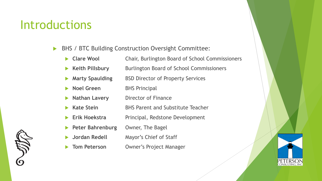#### **Introductions**

- ▶ BHS / BTC Building Construction Oversight Committee:
	- **Clare Wool** Chair, Burlington Board of School Commissioners
	- **Keith Pillsbury** Burlington Board of School Commissioners
	- **Marty Spaulding BSD Director of Property Services**
	- **Noel Green** BHS Principal
	- **Nathan Lavery** Director of Finance
	- u **Kate Stein** BHS Parent and Substitute Teacher
	- Erik Hoekstra Principal, Redstone Development
	- **Peter Bahrenburg Owner, The Bagel**
	- u **Jordan Redell** Mayor's Chief of Staff
	- **Tom Peterson Owner's Project Manager**

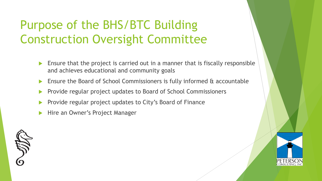# Purpose of the BHS/BTC Building Construction Oversight Committee

- Ensure that the project is carried out in a manner that is fiscally responsible and achieves educational and community goals
- Ensure the Board of School Commissioners is fully informed & accountable
- Provide regular project updates to Board of School Commissioners
- Provide regular project updates to City's Board of Finance
- Hire an Owner's Project Manager

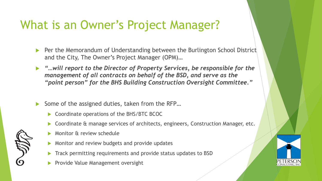#### What is an Owner's Project Manager?

- **Per the Memorandum of Understanding between the Burlington School District** and the City, The Owner's Project Manager (OPM)…
- "...will report to the Director of Property Services, be responsible for the *management of all contracts on behalf of the BSD, and serve as the "point person" for the BHS Building Construction Oversight Committee."*
- Some of the assigned duties, taken from the RFP...
	- Coordinate operations of the BHS/BTC BCOC
	- Coordinate & manage services of architects, engineers, Construction Manager, etc.
	- Monitor & review schedule
	- Monitor and review budgets and provide updates
	- Track permitting requirements and provide status updates to BSD
	- Provide Value Management oversight

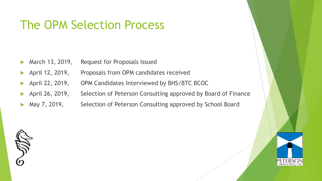#### The OPM Selection Process

- March 13, 2019, Request for Proposals Issued
- April 12, 2019, Proposals from OPM candidates received
- April 22, 2019, OPM Candidates Interviewed by BHS/BTC BCOC
- April 26, 2019, Selection of Peterson Consulting approved by Board of Finance
- May 7, 2019, Selection of Peterson Consulting approved by School Board



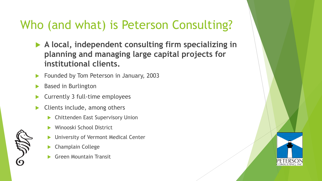#### Who (and what) is Peterson Consulting?

- ▶ A local, independent consulting firm specializing in **planning and managing large capital projects for institutional clients.**
- Founded by Tom Peterson in January, 2003
- Based in Burlington
- u Currently 3 full-time employees
- Clients include, among others
	- **Chittenden East Supervisory Union**
	- Winooski School District
	- University of Vermont Medical Center
	- Champlain College
	- Green Mountain Transit

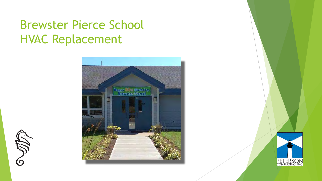#### Brewster Pierce School HVAC Replacement



SSP

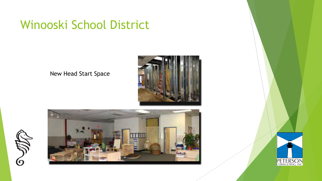#### Winooski School District

New Head Start Space







SSI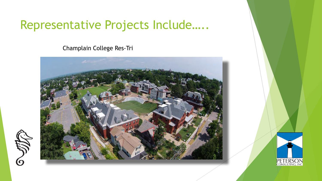#### Representative Projects Include…..

Champlain College Res-Tri



SST<br>O

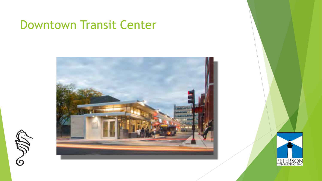#### Downtown Transit Center



SS

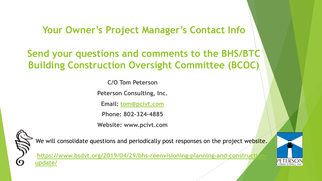**Your Owner's Project Manager's Contact Info**

**Send your questions and comments to the BHS/BTC Building Construction Oversight Committee (BCOC)**

**C/O Tom Peterson**

**Peterson Consulting, Inc.**

**Email: [tom@pcivt.com](mailto:tom@pcivt.com)**

**Phone: 802-324-4885**

**Website: www.pcivt.com**



We will consolidate questions and periodically post responses on the project website.

[https://www.bsdvt.org/2019/04/29/bhs-reenvisioning-planning-and-construction](https://www.bsdvt.org/2019/04/29/bhs-reenvisioning-planning-and-construction-update/)**update/**

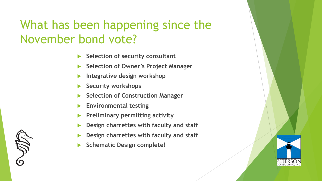#### What has been happening since the November bond vote?

- **Selection of security consultant**
- u **Selection of Owner's Project Manager**
- Integrative design workshop
- **Security workshops**
- **Selection of Construction Manager**
- **Environmental testing**
- **Preliminary permitting activity**
- u **Design charrettes with faculty and staff**
- u **Design charrettes with faculty and staff**
- **Schematic Design complete!**

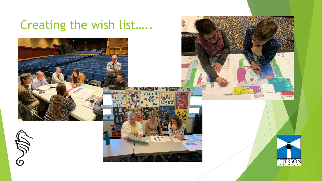# Creating the wish list…..

SST.



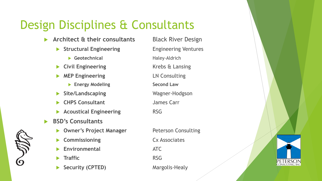# Design Disciplines & Consultants

- Architect & their consultants Black River Design
	- **Structural Engineering Engineering Ventures** 
		- **Geotechnical** Haley-Aldrich
	- **Civil Engineering Krebs & Lansing**
	- **MEP Engineering LN Consulting** 
		- **Energy Modeling The Second Law**
	- Site/Landscaping Wagner-Hodgson
	- u **CHPS Consultant** James Carr
	- Acoustical Engineering **RSG**
- u **BSD's Consultants**
	- **Owner's Project Manager State Peterson Consulting**
	- **Commissioning Cx Associates**
	- u **Environmental** ATC
	- **Traffic** RSG
	- Security (CPTED) Margolis-Healy

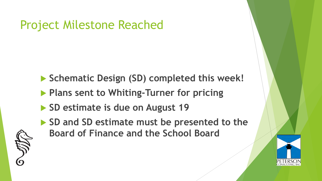#### Project Milestone Reached

- ▶ Schematic Design (SD) completed this week!
- **Plans sent to Whiting-Turner for pricing**
- ▶ SD estimate is due on August 19
- ▶ SD and SD estimate must be presented to the **Board of Finance and the School Board**



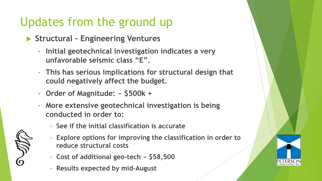# Updates from the ground up

- ▶ Structural Engineering Ventures
	- **Initial geotechnical investigation indicates a very unfavorable seismic class "E".**
	- **This has serious implications for structural design that could negatively affect the budget.**
	- **Order of Magnitude: ~ \$500k +**
	- **More extensive geotechnical investigation is being conducted in order to:**
		- **See if the initial classification is accurate**
		- **Explore options for improving the classification in order to reduce structural costs**
		- **Cost of additional geo-tech ~ \$58,500**
		- **Results expected by mid-August**



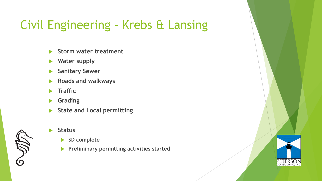# Civil Engineering – Krebs & Lansing

- **Storm water treatment**
- **Water supply**
- **Sanitary Sewer**
- u **Roads and walkways**
- **F** Traffic
- **K** Grading
- State and Local permitting



- **Exercise Status** 
	- ▶ SD complete
	- **Preliminary permitting activities started**

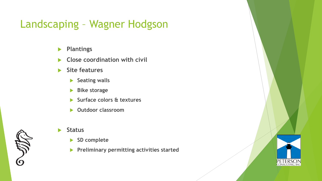#### Landscaping – Wagner Hodgson

- **Plantings**
- **EX Close coordination with civil**
- **Site features** 
	- **Seating walls**
	- **Bike storage**
	- u **Surface colors & textures**
	- **Dutdoor classroom**



- **Example 15** 
	- ▶ SD complete
	- **Preliminary permitting activities started**

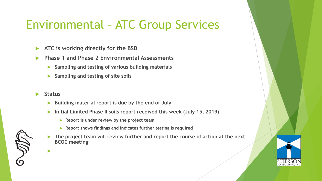### Environmental – ATC Group Services

- **ATC is working directly for the BSD**
- u **Phase 1 and Phase 2 Environmental Assessments**
	- Sampling and testing of various building materials
	- **Sampling and testing of site soils**
- u **Status**

u

- u **Building material report is due by the end of July**
- Initial Limited Phase II soils report received this week (July 15, 2019)
	- **Report is under review by the project team**
	- **Report shows findings and indicates further testing is required**
- The project team will review further and report the course of action at the next **BCOC meeting**

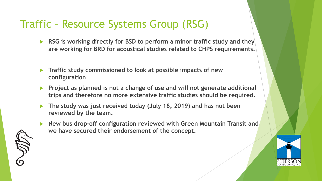#### Traffic – Resource Systems Group (RSG)

- **RSG** is working directly for BSD to perform a minor traffic study and they **are working for BRD for acoustical studies related to CHPS requirements.**
- **Traffic study commissioned to look at possible impacts of new configuration**
- **Project as planned is not a change of use and will not generate additional trips and therefore no more extensive traffic studies should be required.**
- ▶ The study was just received today (July 18, 2019) and has not been **reviewed by the team.**
- u **New bus drop-off configuration reviewed with Green Mountain Transit and we have secured their endorsement of the concept.**

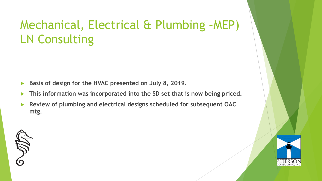#### Mechanical, Electrical & Plumbing –MEP) LN Consulting

- Basis of design for the HVAC presented on July 8, 2019.
- This information was incorporated into the SD set that is now being priced.
- u **Review of plumbing and electrical designs scheduled for subsequent OAC mtg.**